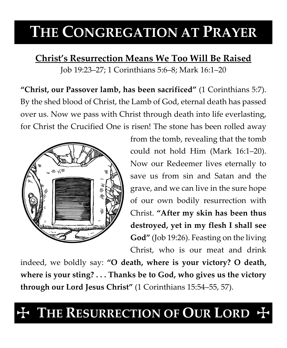# **THE CONGREGATION AT PRAYER**

**Christ's Resurrection Means We Too Will Be Raised** Job 19:23–27; 1 Corinthians 5:6–8; Mark 16:1–20

**"Christ, our Passover lamb, has been sacrificed"** (1 Corinthians 5:7). By the shed blood of Christ, the Lamb of God, eternal death has passed over us. Now we pass with Christ through death into life everlasting, for Christ the Crucified One is risen! The stone has been rolled away



from the tomb, revealing that the tomb could not hold Him (Mark 16:1–20). Now our Redeemer lives eternally to save us from sin and Satan and the grave, and we can live in the sure hope of our own bodily resurrection with Christ. **"After my skin has been thus destroyed, yet in my flesh I shall see God"** (Job 19:26). Feasting on the living Christ, who is our meat and drink

indeed, we boldly say: **"O death, where is your victory? O death, where is your sting? . . . Thanks be to God, who gives us the victory through our Lord Jesus Christ"** (1 Corinthians 15:54–55, 57).

# THE RESURRECTION OF **OUR LORD**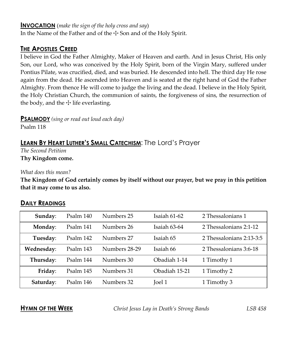#### **INVOCATION** (*make the sign of the holy cross and say*)

In the Name of the Father and of the  $\pm$  Son and of the Holy Spirit.

# **THE APOSTLES CREED**

I believe in God the Father Almighty, Maker of Heaven and earth. And in Jesus Christ, His only Son, our Lord, who was conceived by the Holy Spirit, born of the Virgin Mary, suffered under Pontius Pilate, was crucified, died, and was buried. He descended into hell. The third day He rose again from the dead. He ascended into Heaven and is seated at the right hand of God the Father Almighty. From thence He will come to judge the living and the dead. I believe in the Holy Spirit, the Holy Christian Church, the communion of saints, the forgiveness of sins, the resurrection of the body, and the  $\pm$  life everlasting.

**PSALMODY** *(sing or read out loud each day)*

Psalm 118

# **LEARN BY HEART LUTHER'S SMALL CATECHISM**: The Lord's Prayer

*The Second Petition* **Thy Kingdom come.**

#### *What does this mean?*

**The Kingdom of God certainly comes by itself without our prayer, but we pray in this petition that it may come to us also.**

## **DAILY READINGS**

| Sunday:    | Psalm 140 | Numbers 25    | Isaiah 61-62  | 2 Thessalonians 1        |
|------------|-----------|---------------|---------------|--------------------------|
| Monday:    | Psalm 141 | Numbers 26    | Isaiah 63-64  | 2 Thessalonians 2:1-12   |
| Tuesday:   | Psalm 142 | Numbers 27    | Isaiah 65     | 2 Thessalonians 2:13-3:5 |
| Wednesday: | Psalm 143 | Numbers 28-29 | Isaiah 66     | 2 Thessalonians 3:6-18   |
| Thursday:  | Psalm 144 | Numbers 30    | Obadiah 1-14  | 1 Timothy 1              |
| Friday:    | Psalm 145 | Numbers 31    | Obadiah 15-21 | 1 Timothy 2              |
| Saturday:  | Psalm 146 | Numbers 32    | <b>Joel 1</b> | 1 Timothy 3              |

**HYMN OF THE WEEK** *Christ Jesus Lay in Death's Strong Bands LSB 458*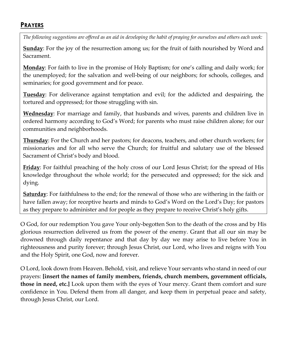# **PRAYERS**

*The following suggestions are offered as an aid in developing the habit of praying for ourselves and others each week:*

**Sunday**: For the joy of the resurrection among us; for the fruit of faith nourished by Word and Sacrament.

**Monday**: For faith to live in the promise of Holy Baptism; for one's calling and daily work; for the unemployed; for the salvation and well-being of our neighbors; for schools, colleges, and seminaries; for good government and for peace.

**Tuesday**: For deliverance against temptation and evil; for the addicted and despairing, the tortured and oppressed; for those struggling with sin.

**Wednesday**: For marriage and family, that husbands and wives, parents and children live in ordered harmony according to God's Word; for parents who must raise children alone; for our communities and neighborhoods.

**Thursday**: For the Church and her pastors; for deacons, teachers, and other church workers; for missionaries and for all who serve the Church; for fruitful and salutary use of the blessed Sacrament of Christ's body and blood.

**Friday**: For faithful preaching of the holy cross of our Lord Jesus Christ; for the spread of His knowledge throughout the whole world; for the persecuted and oppressed; for the sick and dying.

**Saturday**: For faithfulness to the end; for the renewal of those who are withering in the faith or have fallen away; for receptive hearts and minds to God's Word on the Lord's Day; for pastors as they prepare to administer and for people as they prepare to receive Christ's holy gifts.

O God, for our redemption You gave Your only-begotten Son to the death of the cross and by His glorious resurrection delivered us from the power of the enemy. Grant that all our sin may be drowned through daily repentance and that day by day we may arise to live before You in righteousness and purity forever; through Jesus Christ, our Lord, who lives and reigns with You and the Holy Spirit, one God, now and forever.

O Lord, look down from Heaven. Behold, visit, and relieve Your servants who stand in need of our prayers: **[insert the names of family members, friends, church members, government officials, those in need, etc.]** Look upon them with the eyes of Your mercy. Grant them comfort and sure confidence in You. Defend them from all danger, and keep them in perpetual peace and safety, through Jesus Christ, our Lord.